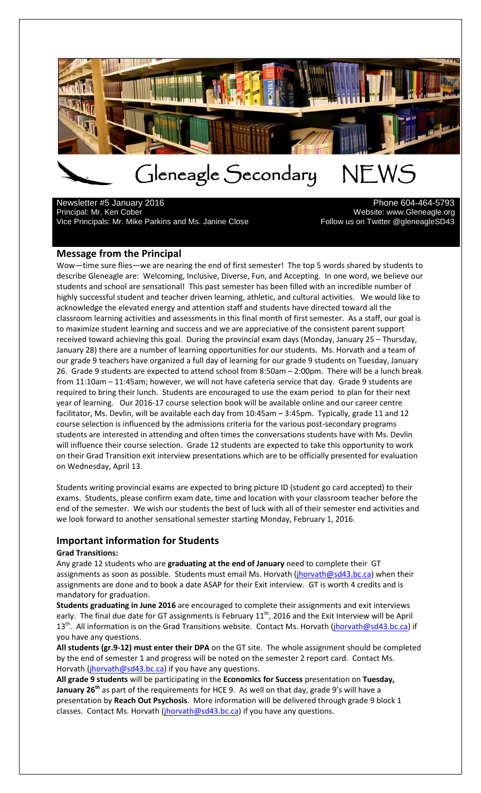

# Gleneagle Secondary NEWS<br>arv 2016

Newsletter #5 January 2016<br>Principal: Mr. Ken Cober Vice Principals: Mr. Mike Parkins and Ms. Janine Close Follow us on Twitter @gleneagleSD43

Website: www.Gleneagle.org

#### **Message from the Principal**

Wow—time sure flies—we are nearing the end of first semester! The top 5 words shared by students to describe Gleneagle are: Welcoming, Inclusive, Diverse, Fun, and Accepting. In one word, we believe our students and school are sensational! This past semester has been filled with an incredible number of highly successful student and teacher driven learning, athletic, and cultural activities. We would like to acknowledge the elevated energy and attention staff and students have directed toward all the classroom learning activities and assessments in this final month of first semester. As a staff, our goal is to maximize student learning and success and we are appreciative of the consistent parent support received toward achieving this goal. During the provincial exam days (Monday, January 25 – Thursday, January 28) there are a number of learning opportunities for our students. Ms. Horvath and a team of our grade 9 teachers have organized a full day of learning for our grade 9 students on Tuesday, January 26. Grade 9 students are expected to attend school from 8:50am – 2:00pm. There will be a lunch break from 11:10am – 11:45am; however, we will not have cafeteria service that day. Grade 9 students are required to bring their lunch. Students are encouraged to use the exam period to plan for their next year of learning. Our 2016-17 course selection book will be available online and our career centre facilitator, Ms. Devlin, will be available each day from 10:45am – 3:45pm. Typically, grade 11 and 12 course selection is influenced by the admissions criteria for the various post-secondary programs students are interested in attending and often times the conversations students have with Ms. Devlin will influence their course selection. Grade 12 students are expected to take this opportunity to work on their Grad Transition exit interview presentations which are to be officially presented for evaluation on Wednesday, April 13.

Students writing provincial exams are expected to bring picture ID (student go card accepted) to their exams. Students, please confirm exam date, time and location with your classroom teacher before the end of the semester. We wish our students the best of luck with all of their semester end activities and we look forward to another sensational semester starting Monday, February 1, 2016.

#### **Important information for Students**

#### **Grad Transitions:**

Any grade 12 students who are **graduating at the end of January** need to complete their GT assignments as soon as possible. Students must email Ms. Horvath (*jhorvath@sd43.bc.ca*) when their assignments are done and to book a date ASAP for their Exit interview. GT is worth 4 credits and is mandatory for graduation.

**Students graduating in June 2016** are encouraged to complete their assignments and exit interviews early. The final due date for GT assignments is February  $11<sup>th</sup>$ , 2016 and the Exit Interview will be April 13<sup>th</sup>. All information is on the Grad Transitions website. Contact Ms. Horvath (*jhorvath@sd43.bc.ca*) if you have any questions.

**All students (gr.9-12) must enter their DPA** on the GT site. The whole assignment should be completed by the end of semester 1 and progress will be noted on the semester 2 report card. Contact Ms. Horvath [\(jhorvath@sd43.bc.ca\)](mailto:jhorvath@sd43.bc.ca) if you have any questions.

**All grade 9 students** will be participating in the **Economics for Success** presentation on **Tuesday, January 26th** as part of the requirements for HCE 9. As well on that day, grade 9's will have a presentation by **Reach Out Psychosis**. More information will be delivered through grade 9 block 1 classes. Contact Ms. Horvath [\(jhorvath@sd43.bc.ca\)](mailto:jhorvath@sd43.bc.ca) if you have any questions.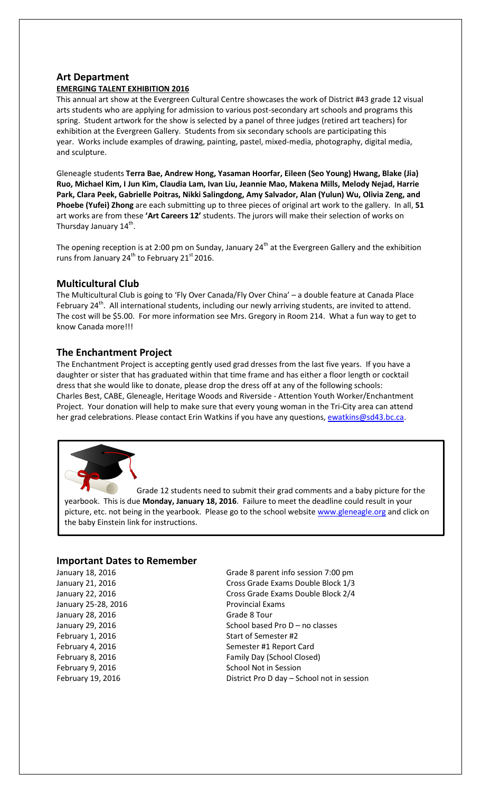#### **Art Department**

#### **EMERGING TALENT EXHIBITION 2016**

This annual art show at the Evergreen Cultural Centre showcases the work of District #43 grade 12 visual arts students who are applying for admission to various post-secondary art schools and programs this spring. Student artwork for the show is selected by a panel of three judges (retired art teachers) for exhibition at the Evergreen Gallery. Students from six secondary schools are participating this year. Works include examples of drawing, painting, pastel, mixed-media, photography, digital media, and sculpture.

Gleneagle students **Terra Bae, Andrew Hong, Yasaman Hoorfar, Eileen (Seo Young) Hwang, Blake (Jia) Ruo, Michael Kim, I Jun Kim, Claudia Lam, Ivan Liu, Jeannie Mao, Makena Mills, Melody Nejad, Harrie Park, Clara Peek, Gabrielle Poitras, Nikki Salingdong, Amy Salvador, Alan (Yulun) Wu, Olivia Zeng, and Phoebe (Yufei) Zhong** are each submitting up to three pieces of original art work to the gallery. In all, **51**  art works are from these **'Art Careers 12'** students. The jurors will make their selection of works on Thursday January 14<sup>th</sup>.

The opening reception is at 2:00 pm on Sunday, January 24<sup>th</sup> at the Evergreen Gallery and the exhibition runs from January  $24^{th}$  to February  $21^{st}$  2016.

#### **Multicultural Club**

The Multicultural Club is going to 'Fly Over Canada/Fly Over China' – a double feature at Canada Place February 24<sup>th</sup>. All international students, including our newly arriving students, are invited to attend. The cost will be \$5.00. For more information see Mrs. Gregory in Room 214. What a fun way to get to know Canada more!!!

#### **The Enchantment Project**

The Enchantment Project is accepting gently used grad dresses from the last five years. If you have a daughter or sister that has graduated within that time frame and has either a floor length or cocktail dress that she would like to donate, please drop the dress off at any of the following schools: Charles Best, CABE, Gleneagle, Heritage Woods and Riverside - Attention Youth Worker/Enchantment Project. Your donation will help to make sure that every young woman in the Tri-City area can attend her grad celebrations. Please contact Erin Watkins if you have any questions, [ewatkins@sd43.bc.ca.](mailto:ewatkins@sd43.bc.ca)



Grade 12 students need to submit their grad comments and a baby picture for the yearbook. This is due **Monday, January 18, 2016**. Failure to meet the deadline could result in your picture, etc. not being in the yearbook. Please go to the school website [www.gleneagle.org](http://www.gleneagle.org/) and click on the baby Einstein link for instructions.

#### **Important Dates to Remember**

January 25-28, 2016 **Provincial Exams** January 28, 2016 Grade 8 Tour

January 18, 2016 Grade 8 parent info session 7:00 pm January 21, 2016 Cross Grade Exams Double Block 1/3 January 22, 2016 Cross Grade Exams Double Block 2/4 January 29, 2016 **School based Pro D** – no classes February 1, 2016 Start of Semester #2 February 4, 2016 **Semester #1 Report Card** February 8, 2016 **Family Day (School Closed)** February 9, 2016 **School Not in Session** School Not in Session February 19, 2016 **District Pro D day – School not in session**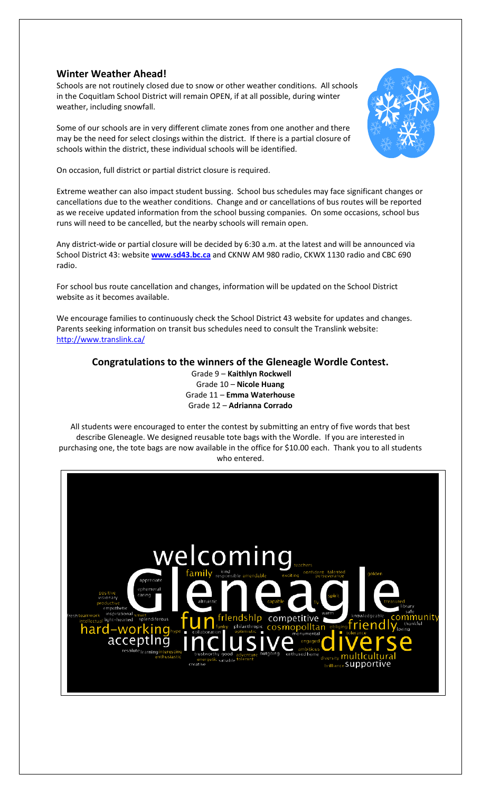#### **Winter Weather Ahead!**

Schools are not routinely closed due to snow or other weather conditions. All schools in the Coquitlam School District will remain OPEN, if at all possible, during winter weather, including snowfall.

Some of our schools are in very different climate zones from one another and there may be the need for select closings within the district. If there is a partial closure of schools within the district, these individual schools will be identified.



On occasion, full district or partial district closure is required.

Extreme weather can also impact student bussing. School bus schedules may face significant changes or cancellations due to the weather conditions. Change and or cancellations of bus routes will be reported as we receive updated information from the school bussing companies. On some occasions, school bus runs will need to be cancelled, but the nearby schools will remain open.

Any district-wide or partial closure will be decided by 6:30 a.m. at the latest and will be announced via School District 43: website **[www.sd43.bc.ca](http://www.sd43.bc.ca/)** and CKNW AM 980 radio, CKWX 1130 radio and CBC 690 radio.

For school bus route cancellation and changes, information will be updated on the School District website as it becomes available.

We encourage families to continuously check the School District 43 website for updates and changes. Parents seeking information on transit bus schedules need to consult the Translink website: <http://www.translink.ca/>

**Congratulations to the winners of the Gleneagle Wordle Contest.**

Grade 9 – **Kaithlyn Rockwell** Grade 10 – **Nicole Huang** Grade 11 – **Emma Waterhouse** Grade 12 – **Adrianna Corrado**

All students were encouraged to enter the contest by submitting an entry of five words that best describe Gleneagle. We designed reusable tote bags with the Wordle. If you are interested in purchasing one, the tote bags are now available in the office for \$10.00 each. Thank you to all students who entered.

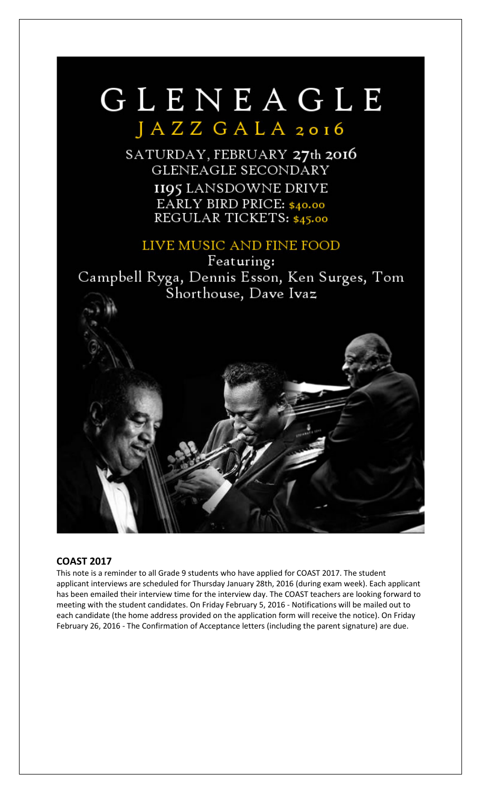## GLENEAGLE JAZZ GALA 2016

SATURDAY, FEBRUARY 27th 2016 **GLENEAGLE SECONDARY II95 LANSDOWNE DRIVE** EARLY BIRD PRICE: \$40.00 REGULAR TICKETS: \$45.00

### LIVE MUSIC AND FINE FOOD

Featuring: Campbell Ryga, Dennis Esson, Ken Surges, Tom Shorthouse, Dave Ivaz



#### **COAST 2017**

This note is a reminder to all Grade 9 students who have applied for COAST 2017. The student applicant interviews are scheduled for Thursday January 28th, 2016 (during exam week). Each applicant has been emailed their interview time for the interview day. The COAST teachers are looking forward to meeting with the student candidates. On Friday February 5, 2016 - Notifications will be mailed out to each candidate (the home address provided on the application form will receive the notice). On Friday February 26, 2016 - The Confirmation of Acceptance letters (including the parent signature) are due.